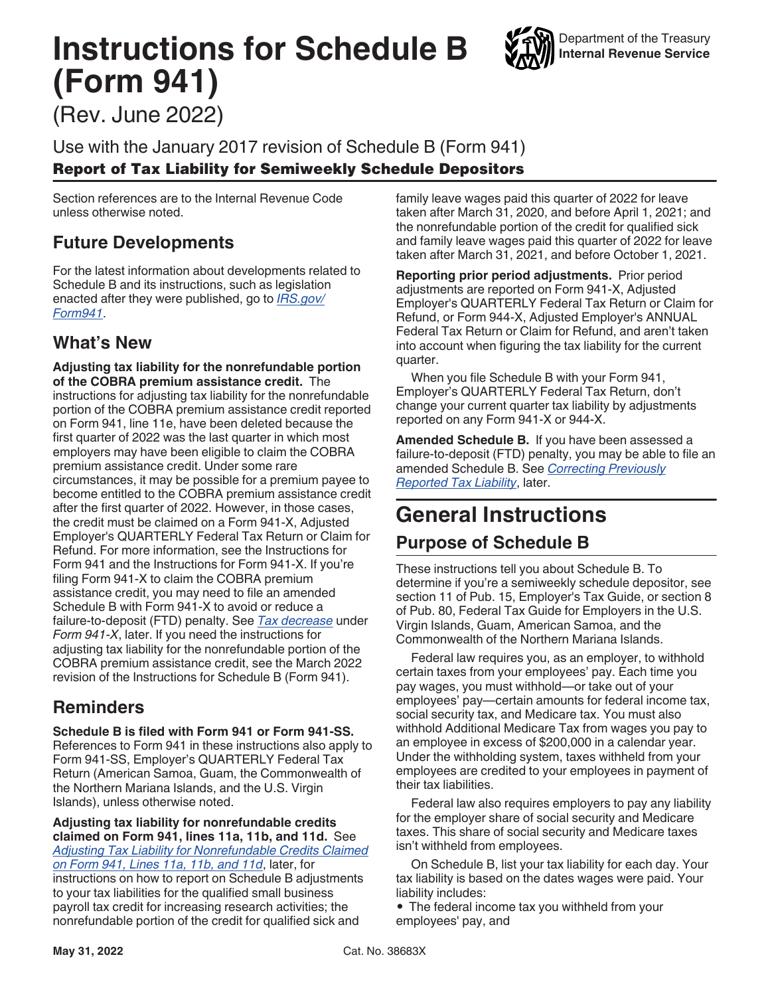# **Instructions for Schedule B (Form 941)**



(Rev. June 2022)

Use with the January 2017 revision of Schedule B (Form 941) Report of Tax Liability for Semiweekly Schedule Depositors

Section references are to the Internal Revenue Code unless otherwise noted.

# **Future Developments**

For the latest information about developments related to Schedule B and its instructions, such as legislation enacted after they were published, go to *[IRS.gov/](https://www.irs.gov/form941) [Form941](https://www.irs.gov/form941)*.

### **What's New**

**Adjusting tax liability for the nonrefundable portion of the COBRA premium assistance credit.** The instructions for adjusting tax liability for the nonrefundable portion of the COBRA premium assistance credit reported on Form 941, line 11e, have been deleted because the first quarter of 2022 was the last quarter in which most employers may have been eligible to claim the COBRA premium assistance credit. Under some rare circumstances, it may be possible for a premium payee to become entitled to the COBRA premium assistance credit after the first quarter of 2022. However, in those cases, the credit must be claimed on a Form 941-X, Adjusted Employer's QUARTERLY Federal Tax Return or Claim for Refund. For more information, see the Instructions for Form 941 and the Instructions for Form 941-X. If you're filing Form 941-X to claim the COBRA premium assistance credit, you may need to file an amended Schedule B with Form 941-X to avoid or reduce a failure-to-deposit (FTD) penalty. See *[Tax decrease](#page-3-0)* under *Form 941-X*, later. If you need the instructions for adjusting tax liability for the nonrefundable portion of the COBRA premium assistance credit, see the March 2022 revision of the Instructions for Schedule B (Form 941).

# **Reminders**

**Schedule B is filed with Form 941 or Form 941-SS.** 

References to Form 941 in these instructions also apply to Form 941-SS, Employer's QUARTERLY Federal Tax Return (American Samoa, Guam, the Commonwealth of the Northern Mariana Islands, and the U.S. Virgin Islands), unless otherwise noted.

**Adjusting tax liability for nonrefundable credits claimed on Form 941, lines 11a, 11b, and 11d.** See *[Adjusting Tax Liability for Nonrefundable Credits Claimed](#page-2-0) [on Form 941, Lines 11a, 11b, and 11d](#page-2-0)*, later, for instructions on how to report on Schedule B adjustments to your tax liabilities for the qualified small business payroll tax credit for increasing research activities; the nonrefundable portion of the credit for qualified sick and

family leave wages paid this quarter of 2022 for leave taken after March 31, 2020, and before April 1, 2021; and the nonrefundable portion of the credit for qualified sick and family leave wages paid this quarter of 2022 for leave taken after March 31, 2021, and before October 1, 2021.

**Reporting prior period adjustments.** Prior period adjustments are reported on Form 941-X, Adjusted Employer's QUARTERLY Federal Tax Return or Claim for Refund, or Form 944-X, Adjusted Employer's ANNUAL Federal Tax Return or Claim for Refund, and aren't taken into account when figuring the tax liability for the current quarter.

When you file Schedule B with your Form 941, Employer's QUARTERLY Federal Tax Return, don't change your current quarter tax liability by adjustments reported on any Form 941-X or 944-X.

**Amended Schedule B.** If you have been assessed a failure-to-deposit (FTD) penalty, you may be able to file an amended Schedule B. See *[Correcting Previously](#page-3-0)  [Reported Tax Liability](#page-3-0)*, later.

# **General Instructions Purpose of Schedule B**

These instructions tell you about Schedule B. To determine if you're a semiweekly schedule depositor, see section 11 of Pub. 15, Employer's Tax Guide, or section 8 of Pub. 80, Federal Tax Guide for Employers in the U.S. Virgin Islands, Guam, American Samoa, and the Commonwealth of the Northern Mariana Islands.

Federal law requires you, as an employer, to withhold certain taxes from your employees' pay. Each time you pay wages, you must withhold—or take out of your employees' pay—certain amounts for federal income tax, social security tax, and Medicare tax. You must also withhold Additional Medicare Tax from wages you pay to an employee in excess of \$200,000 in a calendar year. Under the withholding system, taxes withheld from your employees are credited to your employees in payment of their tax liabilities.

Federal law also requires employers to pay any liability for the employer share of social security and Medicare taxes. This share of social security and Medicare taxes isn't withheld from employees.

On Schedule B, list your tax liability for each day. Your tax liability is based on the dates wages were paid. Your liability includes:

• The federal income tax you withheld from your employees' pay, and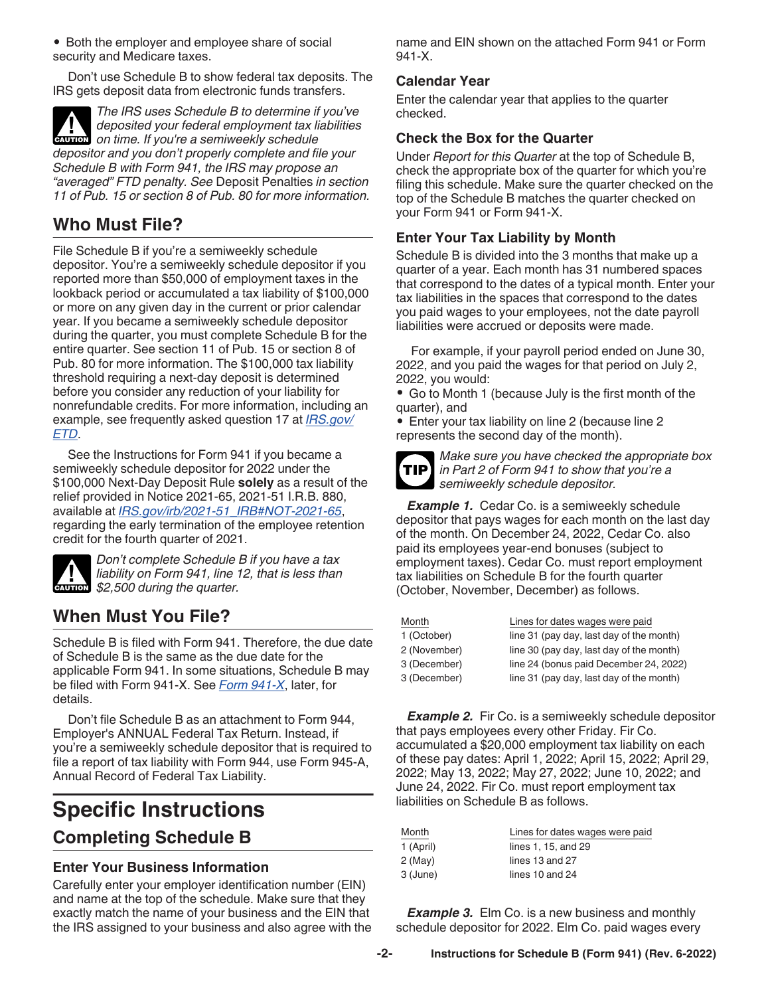• Both the employer and employee share of social security and Medicare taxes.

Don't use Schedule B to show federal tax deposits. The IRS gets deposit data from electronic funds transfers.

*The IRS uses Schedule B to determine if you've deposited your federal employment tax liabilities*  **deposited your federal employment tax lives on time. If you're a semiweekly schedule** *depositor and you don't properly complete and file your Schedule B with Form 941, the IRS may propose an "averaged" FTD penalty. See* Deposit Penalties *in section 11 of Pub. 15 or section 8 of Pub. 80 for more information.*

## **Who Must File?**

File Schedule B if you're a semiweekly schedule depositor. You're a semiweekly schedule depositor if you reported more than \$50,000 of employment taxes in the lookback period or accumulated a tax liability of \$100,000 or more on any given day in the current or prior calendar year. If you became a semiweekly schedule depositor during the quarter, you must complete Schedule B for the entire quarter. See section 11 of Pub. 15 or section 8 of Pub. 80 for more information. The \$100,000 tax liability threshold requiring a next-day deposit is determined before you consider any reduction of your liability for nonrefundable credits. For more information, including an example, see frequently asked question 17 at *[IRS.gov/](https://www.irs.gov/etd) [ETD](https://www.irs.gov/etd)*.

See the Instructions for Form 941 if you became a semiweekly schedule depositor for 2022 under the \$100,000 Next-Day Deposit Rule **solely** as a result of the relief provided in Notice 2021-65, 2021-51 I.R.B. 880, available at *[IRS.gov/irb/2021-51\\_IRB#NOT-2021-65](https://www.irs.gov/irb/2021-51_IRB#NOT-2021-65)*, regarding the early termination of the employee retention credit for the fourth quarter of 2021.



*Don't complete Schedule B if you have a tax liability on Form 941, line 12, that is less than s s 2,500 during the quarter.* 

### **When Must You File?**

Schedule B is filed with Form 941. Therefore, the due date of Schedule B is the same as the due date for the applicable Form 941. In some situations, Schedule B may be filed with Form 941-X. See *[Form 941-X](#page-3-0)*, later, for details.

Don't file Schedule B as an attachment to Form 944, Employer's ANNUAL Federal Tax Return. Instead, if you're a semiweekly schedule depositor that is required to file a report of tax liability with Form 944, use Form 945-A, Annual Record of Federal Tax Liability.

# **Specific Instructions Completing Schedule B**

#### **Enter Your Business Information**

Carefully enter your employer identification number (EIN) and name at the top of the schedule. Make sure that they exactly match the name of your business and the EIN that the IRS assigned to your business and also agree with the name and EIN shown on the attached Form 941 or Form 941-X.

#### **Calendar Year**

Enter the calendar year that applies to the quarter checked.

#### **Check the Box for the Quarter**

Under *Report for this Quarter* at the top of Schedule B, check the appropriate box of the quarter for which you're filing this schedule. Make sure the quarter checked on the top of the Schedule B matches the quarter checked on your Form 941 or Form 941-X.

#### **Enter Your Tax Liability by Month**

Schedule B is divided into the 3 months that make up a quarter of a year. Each month has 31 numbered spaces that correspond to the dates of a typical month. Enter your tax liabilities in the spaces that correspond to the dates you paid wages to your employees, not the date payroll liabilities were accrued or deposits were made.

For example, if your payroll period ended on June 30, 2022, and you paid the wages for that period on July 2, 2022, you would:

• Go to Month 1 (because July is the first month of the quarter), and

• Enter your tax liability on line 2 (because line 2 represents the second day of the month).



*Make sure you have checked the appropriate box in Part 2 of Form 941 to show that you're a semiweekly schedule depositor.*

**Example 1.** Cedar Co. is a semiweekly schedule depositor that pays wages for each month on the last day of the month. On December 24, 2022, Cedar Co. also paid its employees year-end bonuses (subject to employment taxes). Cedar Co. must report employment tax liabilities on Schedule B for the fourth quarter (October, November, December) as follows.

| Month        | Lines for dates wages were paid          |  |
|--------------|------------------------------------------|--|
| 1 (October)  | line 31 (pay day, last day of the month) |  |
| 2 (November) | line 30 (pay day, last day of the month) |  |
| 3 (December) | line 24 (bonus paid December 24, 2022)   |  |
| 3 (December) | line 31 (pay day, last day of the month) |  |

**Example 2.** Fir Co. is a semiweekly schedule depositor that pays employees every other Friday. Fir Co. accumulated a \$20,000 employment tax liability on each of these pay dates: April 1, 2022; April 15, 2022; April 29, 2022; May 13, 2022; May 27, 2022; June 10, 2022; and June 24, 2022. Fir Co. must report employment tax liabilities on Schedule B as follows.

| Month     | Lines for dates wages were paid |  |
|-----------|---------------------------------|--|
| 1 (April) | lines 1, 15, and 29             |  |
| 2 (May)   | lines 13 and 27                 |  |
| 3 (June)  | lines 10 and 24                 |  |

**Example 3.** Elm Co. is a new business and monthly schedule depositor for 2022. Elm Co. paid wages every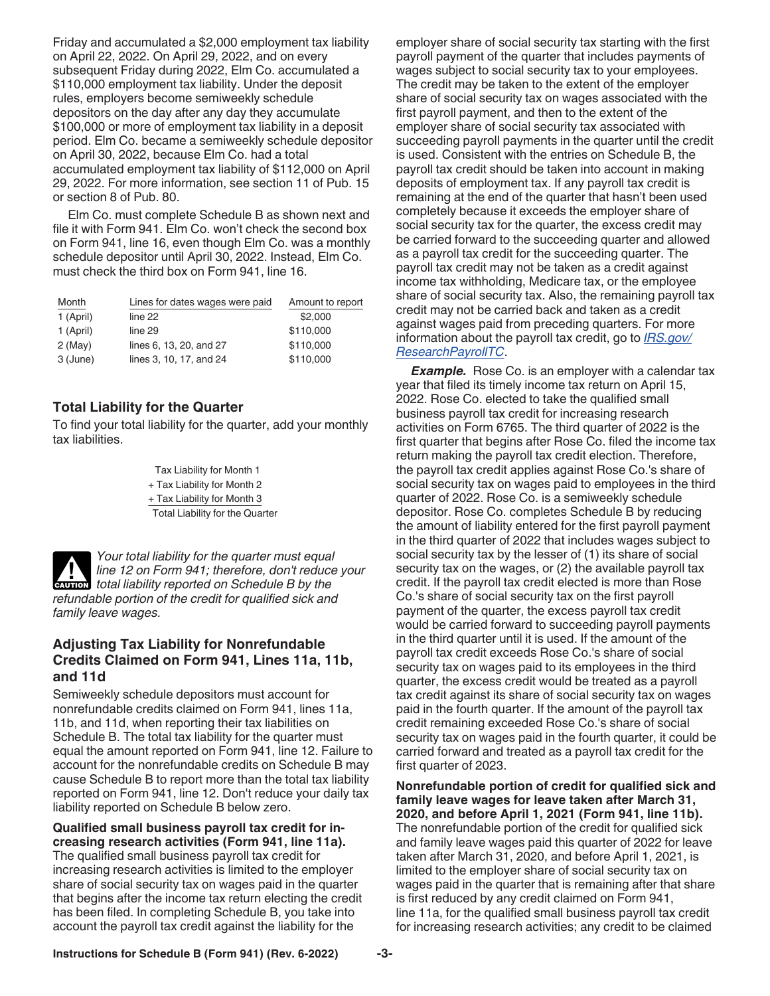<span id="page-2-0"></span>Friday and accumulated a \$2,000 employment tax liability on April 22, 2022. On April 29, 2022, and on every subsequent Friday during 2022, Elm Co. accumulated a \$110,000 employment tax liability. Under the deposit rules, employers become semiweekly schedule depositors on the day after any day they accumulate \$100,000 or more of employment tax liability in a deposit period. Elm Co. became a semiweekly schedule depositor on April 30, 2022, because Elm Co. had a total accumulated employment tax liability of \$112,000 on April 29, 2022. For more information, see section 11 of Pub. 15 or section 8 of Pub. 80.

Elm Co. must complete Schedule B as shown next and file it with Form 941. Elm Co. won't check the second box on Form 941, line 16, even though Elm Co. was a monthly schedule depositor until April 30, 2022. Instead, Elm Co. must check the third box on Form 941, line 16.

| Month     | Lines for dates wages were paid | Amount to report |
|-----------|---------------------------------|------------------|
| 1 (April) | line 22                         | \$2,000          |
| 1 (April) | line 29                         | \$110,000        |
| $2$ (May) | lines 6, 13, 20, and 27         | \$110,000        |
| 3 (June)  | lines 3, 10, 17, and 24         | \$110,000        |

#### **Total Liability for the Quarter**

To find your total liability for the quarter, add your monthly tax liabilities.

> Tax Liability for Month 1 + Tax Liability for Month 2 + Tax Liability for Month 3 Total Liability for the Quarter



#### **Adjusting Tax Liability for Nonrefundable Credits Claimed on Form 941, Lines 11a, 11b, and 11d**

Semiweekly schedule depositors must account for nonrefundable credits claimed on Form 941, lines 11a, 11b, and 11d, when reporting their tax liabilities on Schedule B. The total tax liability for the quarter must equal the amount reported on Form 941, line 12. Failure to account for the nonrefundable credits on Schedule B may cause Schedule B to report more than the total tax liability reported on Form 941, line 12. Don't reduce your daily tax liability reported on Schedule B below zero.

#### **Qualified small business payroll tax credit for increasing research activities (Form 941, line 11a).**

The qualified small business payroll tax credit for increasing research activities is limited to the employer share of social security tax on wages paid in the quarter that begins after the income tax return electing the credit has been filed. In completing Schedule B, you take into account the payroll tax credit against the liability for the

employer share of social security tax starting with the first payroll payment of the quarter that includes payments of wages subject to social security tax to your employees. The credit may be taken to the extent of the employer share of social security tax on wages associated with the first payroll payment, and then to the extent of the employer share of social security tax associated with succeeding payroll payments in the quarter until the credit is used. Consistent with the entries on Schedule B, the payroll tax credit should be taken into account in making deposits of employment tax. If any payroll tax credit is remaining at the end of the quarter that hasn't been used completely because it exceeds the employer share of social security tax for the quarter, the excess credit may be carried forward to the succeeding quarter and allowed as a payroll tax credit for the succeeding quarter. The payroll tax credit may not be taken as a credit against income tax withholding, Medicare tax, or the employee share of social security tax. Also, the remaining payroll tax credit may not be carried back and taken as a credit against wages paid from preceding quarters. For more information about the payroll tax credit, go to *[IRS.gov/](https://www.irs.gov/researchpayrolltc) [ResearchPayrollTC](https://www.irs.gov/researchpayrolltc)*.

**Example.** Rose Co. is an employer with a calendar tax year that filed its timely income tax return on April 15, 2022. Rose Co. elected to take the qualified small business payroll tax credit for increasing research activities on Form 6765. The third quarter of 2022 is the first quarter that begins after Rose Co. filed the income tax return making the payroll tax credit election. Therefore, the payroll tax credit applies against Rose Co.'s share of social security tax on wages paid to employees in the third quarter of 2022. Rose Co. is a semiweekly schedule depositor. Rose Co. completes Schedule B by reducing the amount of liability entered for the first payroll payment in the third quarter of 2022 that includes wages subject to social security tax by the lesser of (1) its share of social security tax on the wages, or (2) the available payroll tax credit. If the payroll tax credit elected is more than Rose Co.'s share of social security tax on the first payroll payment of the quarter, the excess payroll tax credit would be carried forward to succeeding payroll payments in the third quarter until it is used. If the amount of the payroll tax credit exceeds Rose Co.'s share of social security tax on wages paid to its employees in the third quarter, the excess credit would be treated as a payroll tax credit against its share of social security tax on wages paid in the fourth quarter. If the amount of the payroll tax credit remaining exceeded Rose Co.'s share of social security tax on wages paid in the fourth quarter, it could be carried forward and treated as a payroll tax credit for the first quarter of 2023.

**Nonrefundable portion of credit for qualified sick and family leave wages for leave taken after March 31, 2020, and before April 1, 2021 (Form 941, line 11b).**  The nonrefundable portion of the credit for qualified sick and family leave wages paid this quarter of 2022 for leave taken after March 31, 2020, and before April 1, 2021, is limited to the employer share of social security tax on wages paid in the quarter that is remaining after that share is first reduced by any credit claimed on Form 941, line 11a, for the qualified small business payroll tax credit for increasing research activities; any credit to be claimed

**Instructions for Schedule B (Form 941) (Rev. 6-2022) -3-**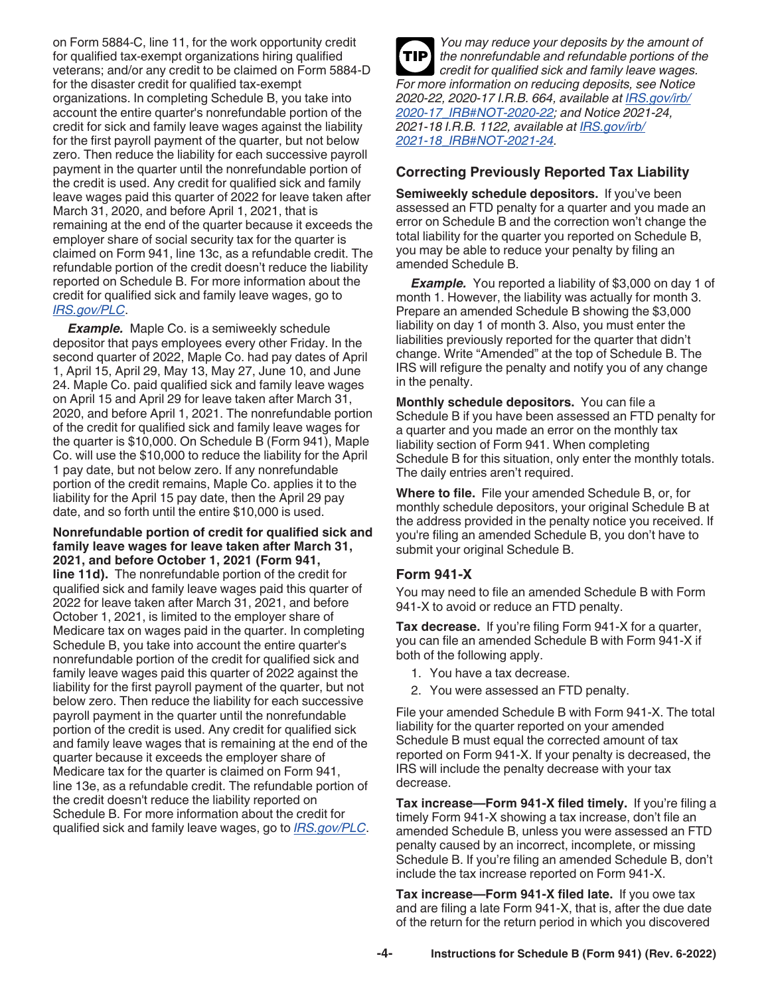<span id="page-3-0"></span>on Form 5884‐C, line 11, for the work opportunity credit for qualified tax‐exempt organizations hiring qualified veterans; and/or any credit to be claimed on Form 5884-D for the disaster credit for qualified tax-exempt organizations. In completing Schedule B, you take into account the entire quarter's nonrefundable portion of the credit for sick and family leave wages against the liability for the first payroll payment of the quarter, but not below zero. Then reduce the liability for each successive payroll payment in the quarter until the nonrefundable portion of the credit is used. Any credit for qualified sick and family leave wages paid this quarter of 2022 for leave taken after March 31, 2020, and before April 1, 2021, that is remaining at the end of the quarter because it exceeds the employer share of social security tax for the quarter is claimed on Form 941, line 13c, as a refundable credit. The refundable portion of the credit doesn't reduce the liability reported on Schedule B. For more information about the credit for qualified sick and family leave wages, go to *[IRS.gov/PLC](https://www.irs.gov/plc)*.

*Example.* Maple Co. is a semiweekly schedule depositor that pays employees every other Friday. In the second quarter of 2022, Maple Co. had pay dates of April 1, April 15, April 29, May 13, May 27, June 10, and June 24. Maple Co. paid qualified sick and family leave wages on April 15 and April 29 for leave taken after March 31, 2020, and before April 1, 2021. The nonrefundable portion of the credit for qualified sick and family leave wages for the quarter is \$10,000. On Schedule B (Form 941), Maple Co. will use the \$10,000 to reduce the liability for the April 1 pay date, but not below zero. If any nonrefundable portion of the credit remains, Maple Co. applies it to the liability for the April 15 pay date, then the April 29 pay date, and so forth until the entire \$10,000 is used.

#### **Nonrefundable portion of credit for qualified sick and family leave wages for leave taken after March 31, 2021, and before October 1, 2021 (Form 941,**

**line 11d).** The nonrefundable portion of the credit for qualified sick and family leave wages paid this quarter of 2022 for leave taken after March 31, 2021, and before October 1, 2021, is limited to the employer share of Medicare tax on wages paid in the quarter. In completing Schedule B, you take into account the entire quarter's nonrefundable portion of the credit for qualified sick and family leave wages paid this quarter of 2022 against the liability for the first payroll payment of the quarter, but not below zero. Then reduce the liability for each successive payroll payment in the quarter until the nonrefundable portion of the credit is used. Any credit for qualified sick and family leave wages that is remaining at the end of the quarter because it exceeds the employer share of Medicare tax for the quarter is claimed on Form 941, line 13e, as a refundable credit. The refundable portion of the credit doesn't reduce the liability reported on Schedule B. For more information about the credit for qualified sick and family leave wages, go to *[IRS.gov/PLC](https://www.irs.gov/plc)*.

*You may reduce your deposits by the amount of the nonrefundable and refundable portions of the credit for qualified sick and family leave wages. For more information on reducing deposits, see Notice 2020-22, 2020-17 I.R.B. 664, available at [IRS.gov/irb/](https://www.irs.gov/irb/2020-17_IRB#NOT-2020-22) [2020-17\\_IRB#NOT-2020-22](https://www.irs.gov/irb/2020-17_IRB#NOT-2020-22); and Notice 2021-24, 2021-18 I.R.B. 1122, available at [IRS.gov/irb/](https://www.irs.gov/irb/2021-18_IRB#NOT-2021-24) [2021-18\\_IRB#NOT-2021-24](https://www.irs.gov/irb/2021-18_IRB#NOT-2021-24).* **TIP**

#### **Correcting Previously Reported Tax Liability**

**Semiweekly schedule depositors.** If you've been assessed an FTD penalty for a quarter and you made an error on Schedule B and the correction won't change the total liability for the quarter you reported on Schedule B, you may be able to reduce your penalty by filing an amended Schedule B.

**Example.** You reported a liability of \$3,000 on day 1 of month 1. However, the liability was actually for month 3. Prepare an amended Schedule B showing the \$3,000 liability on day 1 of month 3. Also, you must enter the liabilities previously reported for the quarter that didn't change. Write "Amended" at the top of Schedule B. The IRS will refigure the penalty and notify you of any change in the penalty.

**Monthly schedule depositors.** You can file a Schedule B if you have been assessed an FTD penalty for a quarter and you made an error on the monthly tax liability section of Form 941. When completing Schedule B for this situation, only enter the monthly totals. The daily entries aren't required.

**Where to file.** File your amended Schedule B, or, for monthly schedule depositors, your original Schedule B at the address provided in the penalty notice you received. If you're filing an amended Schedule B, you don't have to submit your original Schedule B.

#### **Form 941-X**

You may need to file an amended Schedule B with Form 941-X to avoid or reduce an FTD penalty.

**Tax decrease.** If you're filing Form 941-X for a quarter, you can file an amended Schedule B with Form 941-X if both of the following apply.

- 1. You have a tax decrease.
- 2. You were assessed an FTD penalty.

File your amended Schedule B with Form 941-X. The total liability for the quarter reported on your amended Schedule B must equal the corrected amount of tax reported on Form 941-X. If your penalty is decreased, the IRS will include the penalty decrease with your tax decrease.

**Tax increase—Form 941-X filed timely.** If you're filing a timely Form 941-X showing a tax increase, don't file an amended Schedule B, unless you were assessed an FTD penalty caused by an incorrect, incomplete, or missing Schedule B. If you're filing an amended Schedule B, don't include the tax increase reported on Form 941-X.

**Tax increase—Form 941-X filed late.** If you owe tax and are filing a late Form 941-X, that is, after the due date of the return for the return period in which you discovered